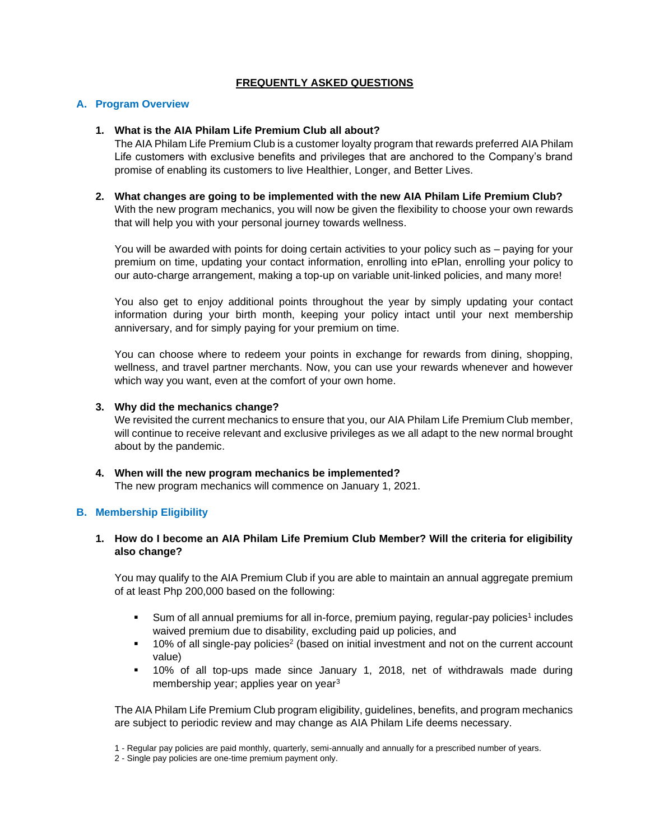## **FREQUENTLY ASKED QUESTIONS**

## **A. Program Overview**

### **1. What is the AIA Philam Life Premium Club all about?**

The AIA Philam Life Premium Club is a customer loyalty program that rewards preferred AIA Philam Life customers with exclusive benefits and privileges that are anchored to the Company's brand promise of enabling its customers to live Healthier, Longer, and Better Lives.

### **2. What changes are going to be implemented with the new AIA Philam Life Premium Club?** With the new program mechanics, you will now be given the flexibility to choose your own rewards that will help you with your personal journey towards wellness.

You will be awarded with points for doing certain activities to your policy such as – paying for your premium on time, updating your contact information, enrolling into ePlan, enrolling your policy to our auto-charge arrangement, making a top-up on variable unit-linked policies, and many more!

You also get to enjoy additional points throughout the year by simply updating your contact information during your birth month, keeping your policy intact until your next membership anniversary, and for simply paying for your premium on time.

You can choose where to redeem your points in exchange for rewards from dining, shopping, wellness, and travel partner merchants. Now, you can use your rewards whenever and however which way you want, even at the comfort of your own home.

#### **3. Why did the mechanics change?**

We revisited the current mechanics to ensure that you, our AIA Philam Life Premium Club member, will continue to receive relevant and exclusive privileges as we all adapt to the new normal brought about by the pandemic.

**4. When will the new program mechanics be implemented?** The new program mechanics will commence on January 1, 2021.

#### **B. Membership Eligibility**

## **1. How do I become an AIA Philam Life Premium Club Member? Will the criteria for eligibility also change?**

You may qualify to the AIA Premium Club if you are able to maintain an annual aggregate premium of at least Php 200,000 based on the following:

- Sum of all annual premiums for all in-force, premium paying, regular-pay policies<sup>1</sup> includes waived premium due to disability, excluding paid up policies, and
- 10% of all single-pay policies<sup>2</sup> (based on initial investment and not on the current account value)
- 10% of all top-ups made since January 1, 2018, net of withdrawals made during membership year; applies year on year<sup>3</sup>

The AIA Philam Life Premium Club program eligibility, guidelines, benefits, and program mechanics are subject to periodic review and may change as AIA Philam Life deems necessary.

<sup>1 -</sup> Regular pay policies are paid monthly, quarterly, semi-annually and annually for a prescribed number of years.

<sup>2 -</sup> Single pay policies are one-time premium payment only.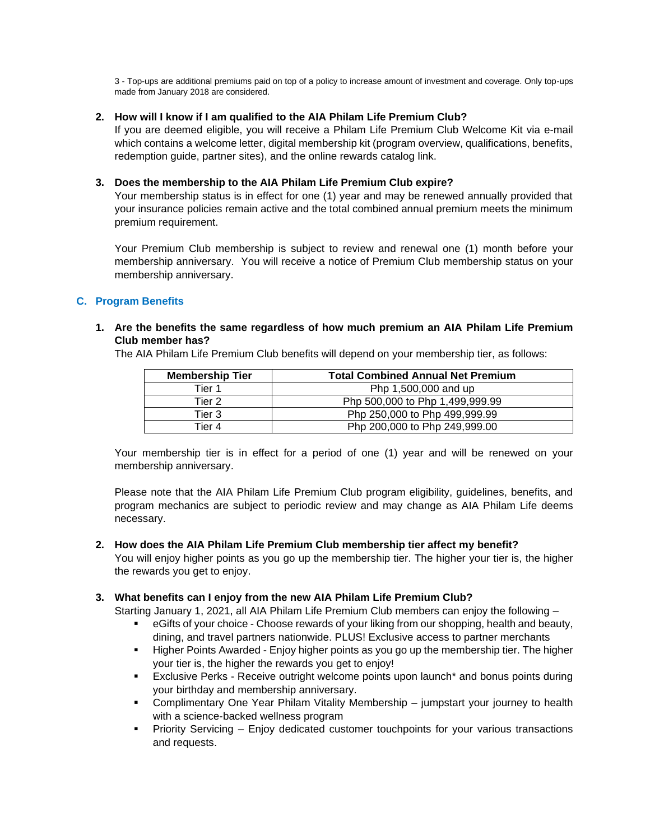3 - Top-ups are additional premiums paid on top of a policy to increase amount of investment and coverage. Only top-ups made from January 2018 are considered.

## **2. How will I know if I am qualified to the AIA Philam Life Premium Club?**

If you are deemed eligible, you will receive a Philam Life Premium Club Welcome Kit via e-mail which contains a welcome letter, digital membership kit (program overview, qualifications, benefits, redemption guide, partner sites), and the online rewards catalog link.

## **3. Does the membership to the AIA Philam Life Premium Club expire?**

Your membership status is in effect for one (1) year and may be renewed annually provided that your insurance policies remain active and the total combined annual premium meets the minimum premium requirement.

Your Premium Club membership is subject to review and renewal one (1) month before your membership anniversary. You will receive a notice of Premium Club membership status on your membership anniversary.

# **C. Program Benefits**

## **1. Are the benefits the same regardless of how much premium an AIA Philam Life Premium Club member has?**

The AIA Philam Life Premium Club benefits will depend on your membership tier, as follows:

| <b>Membership Tier</b> | <b>Total Combined Annual Net Premium</b> |
|------------------------|------------------------------------------|
| Tier 1                 | Php 1,500,000 and up                     |
| Tier 2                 | Php 500,000 to Php 1,499,999.99          |
| Tier 3                 | Php 250,000 to Php 499,999.99            |
| Tier 4                 | Php 200,000 to Php 249,999.00            |

Your membership tier is in effect for a period of one (1) year and will be renewed on your membership anniversary.

Please note that the AIA Philam Life Premium Club program eligibility, guidelines, benefits, and program mechanics are subject to periodic review and may change as AIA Philam Life deems necessary.

#### **2. How does the AIA Philam Life Premium Club membership tier affect my benefit?**

You will enjoy higher points as you go up the membership tier. The higher your tier is, the higher the rewards you get to enjoy.

# **3. What benefits can I enjoy from the new AIA Philam Life Premium Club?**

Starting January 1, 2021, all AIA Philam Life Premium Club members can enjoy the following –

- **EXECT** eGifts of your choice Choose rewards of your liking from our shopping, health and beauty, dining, and travel partners nationwide. PLUS! Exclusive access to partner merchants
- **E** Higher Points Awarded Enjoy higher points as you go up the membership tier. The higher your tier is, the higher the rewards you get to enjoy!
- **Exclusive Perks Receive outright welcome points upon launch\* and bonus points during** your birthday and membership anniversary.
- **Complimentary One Year Philam Vitality Membership jumpstart your journey to health** with a science-backed wellness program
- **•** Priority Servicing Enjoy dedicated customer touchpoints for your various transactions and requests.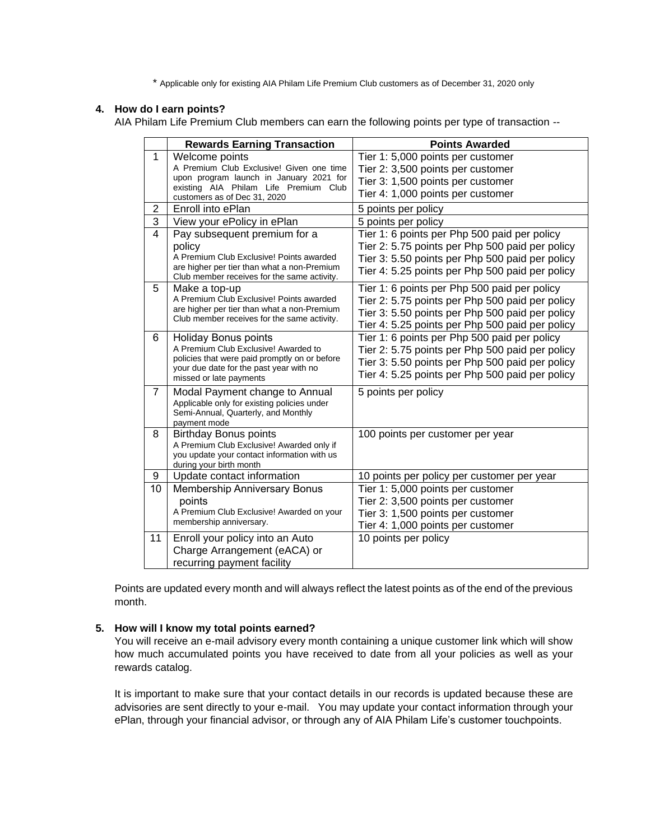\* Applicable only for existing AIA Philam Life Premium Club customers as of December 31, 2020 only

#### **4. How do I earn points?**

AIA Philam Life Premium Club members can earn the following points per type of transaction --

|                          | <b>Rewards Earning Transaction</b>                                                                                                                                                         | <b>Points Awarded</b>                                                                                                                                                                                 |
|--------------------------|--------------------------------------------------------------------------------------------------------------------------------------------------------------------------------------------|-------------------------------------------------------------------------------------------------------------------------------------------------------------------------------------------------------|
| $\mathbf{1}$             | Welcome points<br>A Premium Club Exclusive! Given one time<br>upon program launch in January 2021 for<br>existing AIA Philam Life Premium Club<br>customers as of Dec 31, 2020             | Tier 1: 5,000 points per customer<br>Tier 2: 3,500 points per customer<br>Tier 3: 1,500 points per customer<br>Tier 4: 1,000 points per customer                                                      |
| 2                        | Enroll into ePlan                                                                                                                                                                          | 5 points per policy                                                                                                                                                                                   |
| 3                        | View your ePolicy in ePlan                                                                                                                                                                 | 5 points per policy                                                                                                                                                                                   |
| $\overline{\mathcal{L}}$ | Pay subsequent premium for a<br>policy<br>A Premium Club Exclusive! Points awarded<br>are higher per tier than what a non-Premium<br>Club member receives for the same activity.           | Tier 1: 6 points per Php 500 paid per policy<br>Tier 2: 5.75 points per Php 500 paid per policy<br>Tier 3: 5.50 points per Php 500 paid per policy<br>Tier 4: 5.25 points per Php 500 paid per policy |
| 5                        | Make a top-up<br>A Premium Club Exclusive! Points awarded<br>are higher per tier than what a non-Premium<br>Club member receives for the same activity.                                    | Tier 1: 6 points per Php 500 paid per policy<br>Tier 2: 5.75 points per Php 500 paid per policy<br>Tier 3: 5.50 points per Php 500 paid per policy<br>Tier 4: 5.25 points per Php 500 paid per policy |
| 6                        | <b>Holiday Bonus points</b><br>A Premium Club Exclusive! Awarded to<br>policies that were paid promptly on or before<br>your due date for the past year with no<br>missed or late payments | Tier 1: 6 points per Php 500 paid per policy<br>Tier 2: 5.75 points per Php 500 paid per policy<br>Tier 3: 5.50 points per Php 500 paid per policy<br>Tier 4: 5.25 points per Php 500 paid per policy |
| $\overline{7}$           | Modal Payment change to Annual<br>Applicable only for existing policies under<br>Semi-Annual, Quarterly, and Monthly<br>payment mode                                                       | 5 points per policy                                                                                                                                                                                   |
| 8                        | <b>Birthday Bonus points</b><br>A Premium Club Exclusive! Awarded only if<br>you update your contact information with us<br>during your birth month                                        | 100 points per customer per year                                                                                                                                                                      |
| 9                        | Update contact information                                                                                                                                                                 | 10 points per policy per customer per year                                                                                                                                                            |
| 10                       | <b>Membership Anniversary Bonus</b><br>points<br>A Premium Club Exclusive! Awarded on your<br>membership anniversary.                                                                      | Tier 1: 5,000 points per customer<br>Tier 2: 3,500 points per customer<br>Tier 3: 1,500 points per customer<br>Tier 4: 1,000 points per customer                                                      |
| 11                       | Enroll your policy into an Auto<br>Charge Arrangement (eACA) or<br>recurring payment facility                                                                                              | 10 points per policy                                                                                                                                                                                  |

Points are updated every month and will always reflect the latest points as of the end of the previous month.

#### **5. How will I know my total points earned?**

You will receive an e-mail advisory every month containing a unique customer link which will show how much accumulated points you have received to date from all your policies as well as your rewards catalog.

It is important to make sure that your contact details in our records is updated because these are advisories are sent directly to your e-mail. You may update your contact information through your ePlan, through your financial advisor, or through any of AIA Philam Life's customer touchpoints.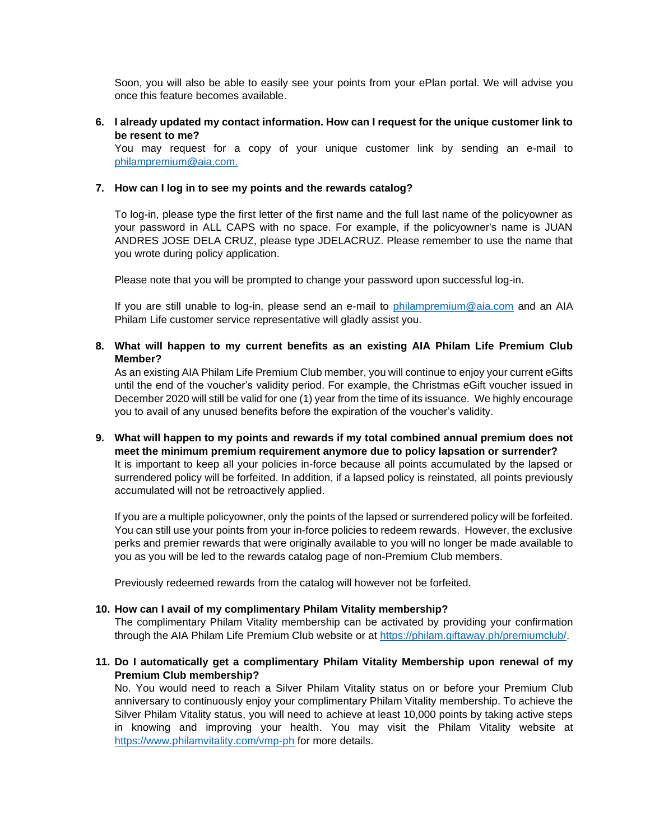Soon, you will also be able to easily see your points from your ePlan portal. We will advise you once this feature becomes available.

## **6. I already updated my contact information. How can I request for the unique customer link to be resent to me?**

You may request for a copy of your unique customer link by sending an e-mail to [philampremium@aia.com.](mailto:philampremium@aia.com)

#### **7. How can I log in to see my points and the rewards catalog?**

To log-in, please type the first letter of the first name and the full last name of the policyowner as your password in ALL CAPS with no space. For example, if the policyowner's name is JUAN ANDRES JOSE DELA CRUZ, please type JDELACRUZ. Please remember to use the name that you wrote during policy application.

Please note that you will be prompted to change your password upon successful log-in.

If you are still unable to log-in, please send an e-mail to [philampremium@aia.com](mailto:philampremium@aia.com) and an AIA Philam Life customer service representative will gladly assist you.

## **8. What will happen to my current benefits as an existing AIA Philam Life Premium Club Member?**

As an existing AIA Philam Life Premium Club member, you will continue to enjoy your current eGifts until the end of the voucher's validity period. For example, the Christmas eGift voucher issued in December 2020 will still be valid for one (1) year from the time of its issuance. We highly encourage you to avail of any unused benefits before the expiration of the voucher's validity.

**9. What will happen to my points and rewards if my total combined annual premium does not meet the minimum premium requirement anymore due to policy lapsation or surrender?** It is important to keep all your policies in-force because all points accumulated by the lapsed or surrendered policy will be forfeited. In addition, if a lapsed policy is reinstated, all points previously accumulated will not be retroactively applied.

If you are a multiple policyowner, only the points of the lapsed or surrendered policy will be forfeited. You can still use your points from your in-force policies to redeem rewards. However, the exclusive perks and premier rewards that were originally available to you will no longer be made available to you as you will be led to the rewards catalog page of non-Premium Club members.

Previously redeemed rewards from the catalog will however not be forfeited.

#### **10. How can I avail of my complimentary Philam Vitality membership?**

The complimentary Philam Vitality membership can be activated by providing your confirmation through the AIA Philam Life Premium Club website or at [https://philam.giftaway.ph/premiumclub/.](https://philam.giftaway.ph/premiumclub/)

## **11. Do I automatically get a complimentary Philam Vitality Membership upon renewal of my Premium Club membership?**

No. You would need to reach a Silver Philam Vitality status on or before your Premium Club anniversary to continuously enjoy your complimentary Philam Vitality membership. To achieve the Silver Philam Vitality status, you will need to achieve at least 10,000 points by taking active steps in knowing and improving your health. You may visit the Philam Vitality website at <https://www.philamvitality.com/vmp-ph> for more details.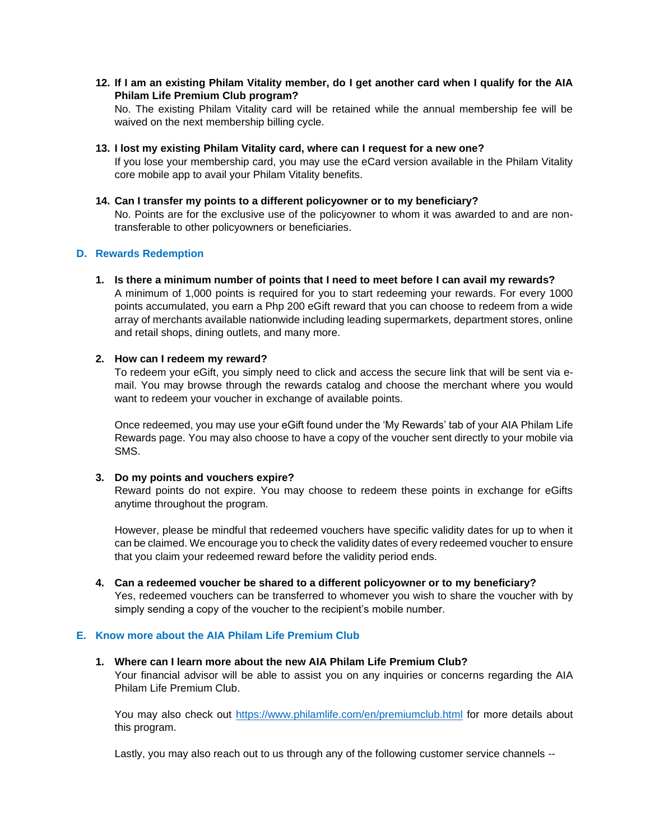**12. If I am an existing Philam Vitality member, do I get another card when I qualify for the AIA Philam Life Premium Club program?** 

No. The existing Philam Vitality card will be retained while the annual membership fee will be waived on the next membership billing cycle.

**13. I lost my existing Philam Vitality card, where can I request for a new one?** 

If you lose your membership card, you may use the eCard version available in the Philam Vitality core mobile app to avail your Philam Vitality benefits.

**14. Can I transfer my points to a different policyowner or to my beneficiary?** 

No. Points are for the exclusive use of the policyowner to whom it was awarded to and are nontransferable to other policyowners or beneficiaries.

#### **D. Rewards Redemption**

**1. Is there a minimum number of points that I need to meet before I can avail my rewards?** A minimum of 1,000 points is required for you to start redeeming your rewards. For every 1000 points accumulated, you earn a Php 200 eGift reward that you can choose to redeem from a wide array of merchants available nationwide including leading supermarkets, department stores, online and retail shops, dining outlets, and many more.

#### **2. How can I redeem my reward?**

To redeem your eGift, you simply need to click and access the secure link that will be sent via email. You may browse through the rewards catalog and choose the merchant where you would want to redeem your voucher in exchange of available points.

Once redeemed, you may use your eGift found under the 'My Rewards' tab of your AIA Philam Life Rewards page. You may also choose to have a copy of the voucher sent directly to your mobile via SMS.

#### **3. Do my points and vouchers expire?**

Reward points do not expire. You may choose to redeem these points in exchange for eGifts anytime throughout the program.

However, please be mindful that redeemed vouchers have specific validity dates for up to when it can be claimed. We encourage you to check the validity dates of every redeemed voucher to ensure that you claim your redeemed reward before the validity period ends.

**4. Can a redeemed voucher be shared to a different policyowner or to my beneficiary?**  Yes, redeemed vouchers can be transferred to whomever you wish to share the voucher with by simply sending a copy of the voucher to the recipient's mobile number.

#### **E. Know more about the AIA Philam Life Premium Club**

**1. Where can I learn more about the new AIA Philam Life Premium Club?**  Your financial advisor will be able to assist you on any inquiries or concerns regarding the AIA Philam Life Premium Club.

You may also check out<https://www.philamlife.com/en/premiumclub.html> for more details about this program.

Lastly, you may also reach out to us through any of the following customer service channels --